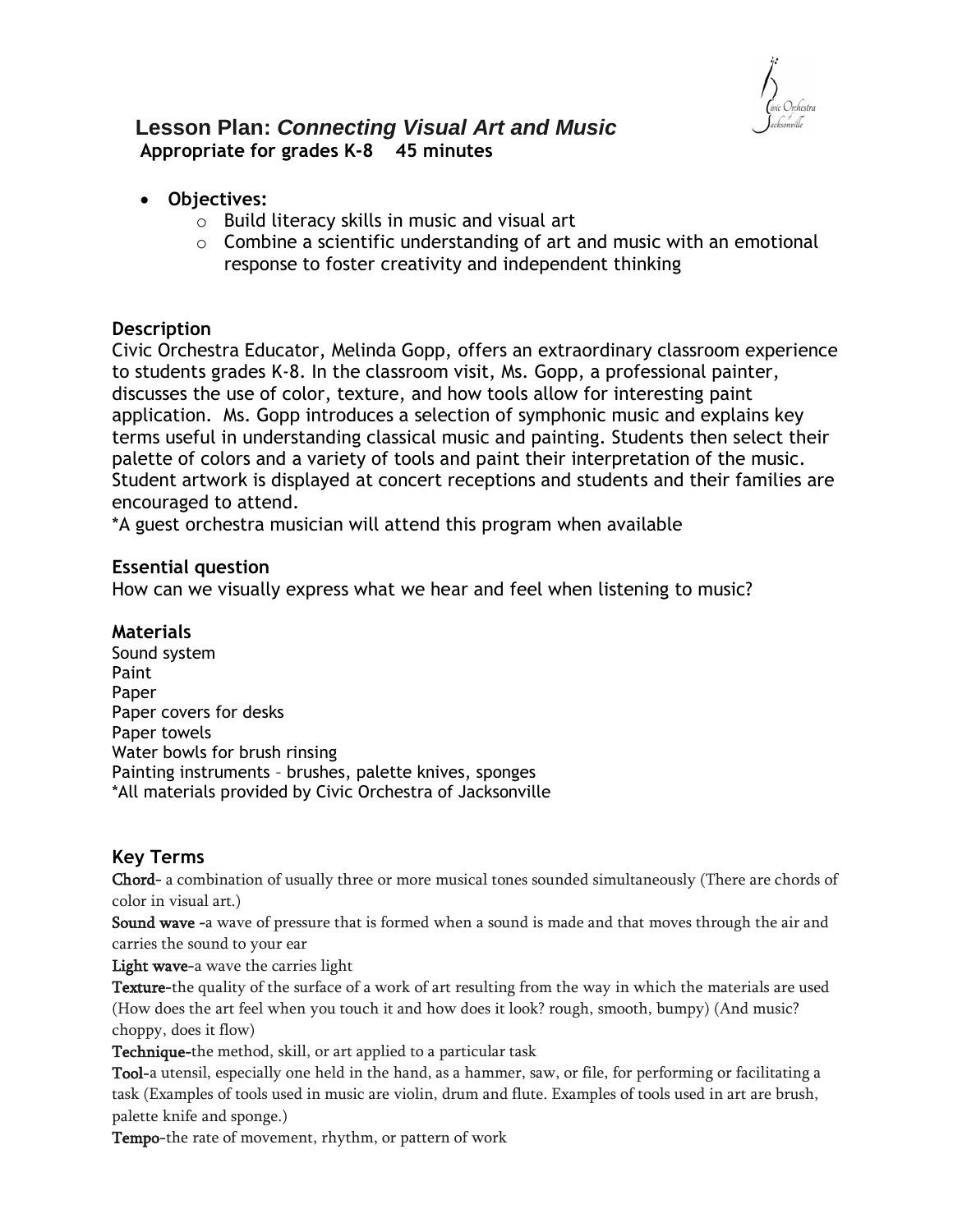

### **Lesson Plan:** *Connecting Visual Art and Music* **Appropriate for grades K-8 45 minutes**

- **Objectives:** 
	- o Build literacy skills in music and visual art
	- $\circ$  Combine a scientific understanding of art and music with an emotional response to foster creativity and independent thinking

#### **Description**

Civic Orchestra Educator, Melinda Gopp, offers an extraordinary classroom experience to students grades K-8. In the classroom visit, Ms. Gopp, a professional painter, discusses the use of color, texture, and how tools allow for interesting paint application. Ms. Gopp introduces a selection of symphonic music and explains key terms useful in understanding classical music and painting. Students then select their palette of colors and a variety of tools and paint their interpretation of the music. Student artwork is displayed at concert receptions and students and their families are encouraged to attend.

\*A guest orchestra musician will attend this program when available

#### **Essential question**

How can we visually express what we hear and feel when listening to music?

#### **Materials**

Sound system Paint Paper Paper covers for desks Paper towels Water bowls for brush rinsing Painting instruments – brushes, palette knives, sponges \*All materials provided by Civic Orchestra of Jacksonville

#### **Key Terms**

Chord- a combination of usually three or more musical tones sounded simultaneously (There are chords of color in visual art.)

Sound wave -a wave of pressure that is formed when a sound is made and that moves through the air and carries the sound to your ear

Light wave-a wave the carries light

Texture-the quality of the surface of a work of art resulting from the way in which the materials are used (How does the art feel when you touch it and how does it look? rough, smooth, bumpy) (And music? choppy, does it flow)

Technique-the method, skill, or art applied to a particular task

Tool-a utensil, especially one held in the hand, as a hammer, saw, or file, for performing or facilitating a task (Examples of tools used in music are violin, drum and flute. Examples of tools used in art are brush, palette knife and sponge.)

Tempo-the rate of movement, rhythm, or pattern of work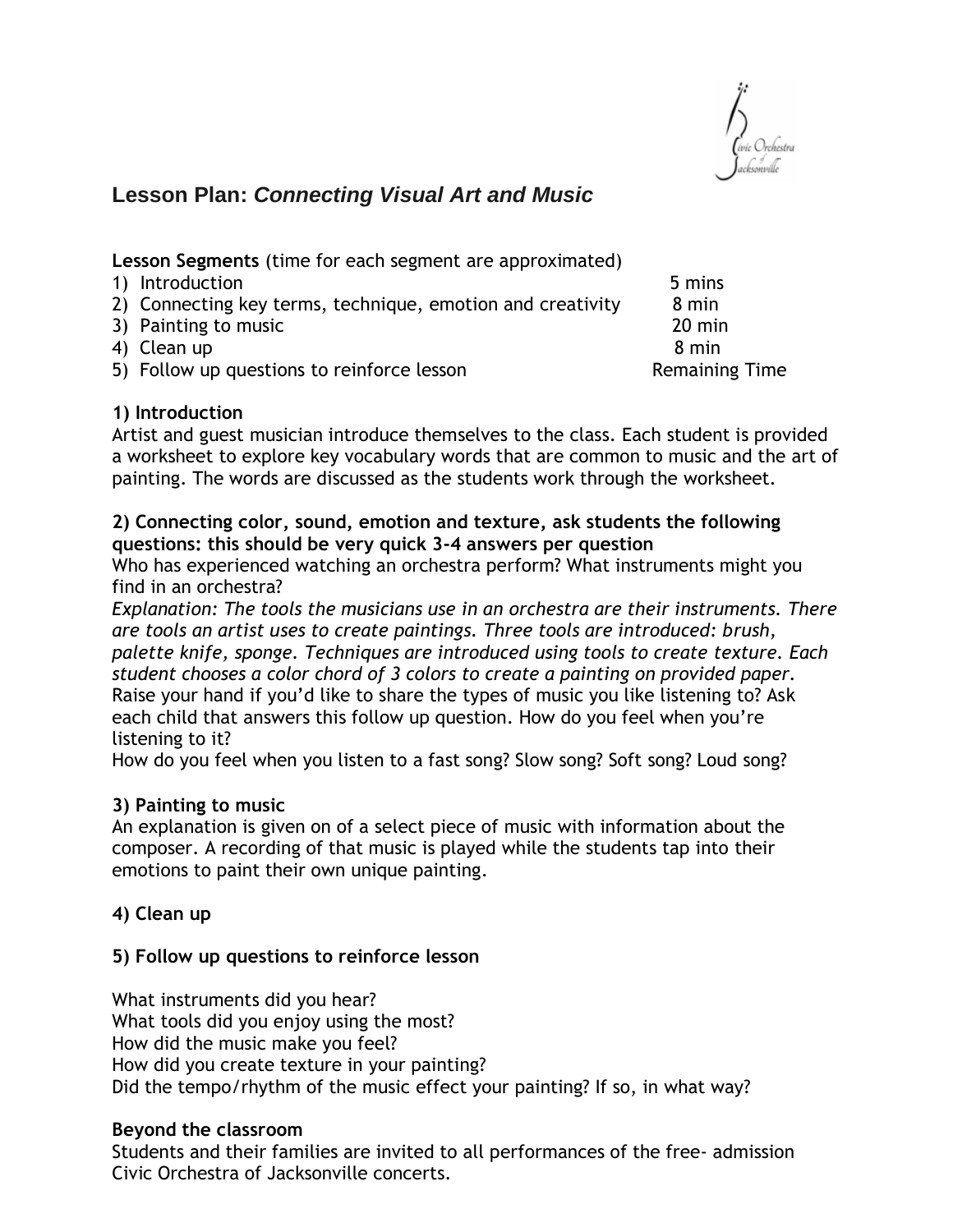

# **Lesson Plan:** *Connecting Visual Art and Music*

**Lesson Segments** (time for each segment are approximated)

- 1) Introduction 5 mins
- 2) Connecting key terms, technique, emotion and creativity 8 min
- 3) Painting to music 20 min
- 4) Clean up 8 min
- 5) Follow up questions to reinforce lesson Remaining Time

### **1) Introduction**

Artist and guest musician introduce themselves to the class. Each student is provided a worksheet to explore key vocabulary words that are common to music and the art of painting. The words are discussed as the students work through the worksheet.

### **2) Connecting color, sound, emotion and texture, ask students the following questions: this should be very quick 3-4 answers per question**

Who has experienced watching an orchestra perform? What instruments might you find in an orchestra?

*Explanation: The tools the musicians use in an orchestra are their instruments. There are tools an artist uses to create paintings. Three tools are introduced: brush, palette knife, sponge. Techniques are introduced using tools to create texture. Each student chooses a color chord of 3 colors to create a painting on provided paper.* Raise your hand if you'd like to share the types of music you like listening to? Ask each child that answers this follow up question. How do you feel when you're listening to it?

How do you feel when you listen to a fast song? Slow song? Soft song? Loud song?

### **3) Painting to music**

An explanation is given on of a select piece of music with information about the composer. A recording of that music is played while the students tap into their emotions to paint their own unique painting.

## **4) Clean up**

### **5) Follow up questions to reinforce lesson**

What instruments did you hear? What tools did you enjoy using the most? How did the music make you feel? How did you create texture in your painting? Did the tempo/rhythm of the music effect your painting? If so, in what way?

### **Beyond the classroom**

Students and their families are invited to all performances of the free- admission Civic Orchestra of Jacksonville concerts.